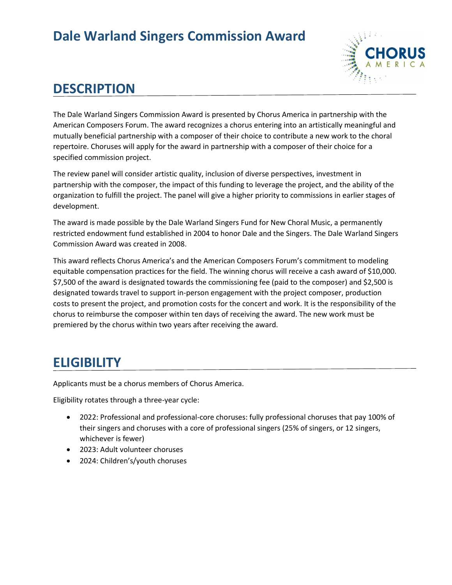## **Dale Warland Singers Commission Award**



#### **DESCRIPTION**

The Dale Warland Singers Commission Award is presented by Chorus America in partnership with the American Composers Forum. The award recognizes a chorus entering into an artistically meaningful and mutually beneficial partnership with a composer of their choice to contribute a new work to the choral repertoire. Choruses will apply for the award in partnership with a composer of their choice for a specified commission project.

The review panel will consider artistic quality, inclusion of diverse perspectives, investment in partnership with the composer, the impact of this funding to leverage the project, and the ability of the organization to fulfill the project. The panel will give a higher priority to commissions in earlier stages of development.

The award is made possible by the Dale Warland Singers Fund for New Choral Music, a permanently restricted endowment fund established in 2004 to honor Dale and the Singers. The Dale Warland Singers Commission Award was created in 2008.

This award reflects Chorus America's and the American Composers Forum's commitment to modeling equitable compensation practices for the field. The winning chorus will receive a cash award of \$10,000. \$7,500 of the award is designated towards the commissioning fee (paid to the composer) and \$2,500 is designated towards travel to support in-person engagement with the project composer, production costs to present the project, and promotion costs for the concert and work. It is the responsibility of the chorus to reimburse the composer within ten days of receiving the award. The new work must be premiered by the chorus within two years after receiving the award.

#### **ELIGIBILITY**

Applicants must be a chorus members of Chorus America.

Eligibility rotates through a three-year cycle:

- 2022: Professional and professional-core choruses: fully professional choruses that pay 100% of their singers and choruses with a core of professional singers (25% of singers, or 12 singers, whichever is fewer)
- 2023: Adult volunteer choruses
- 2024: Children's/youth choruses